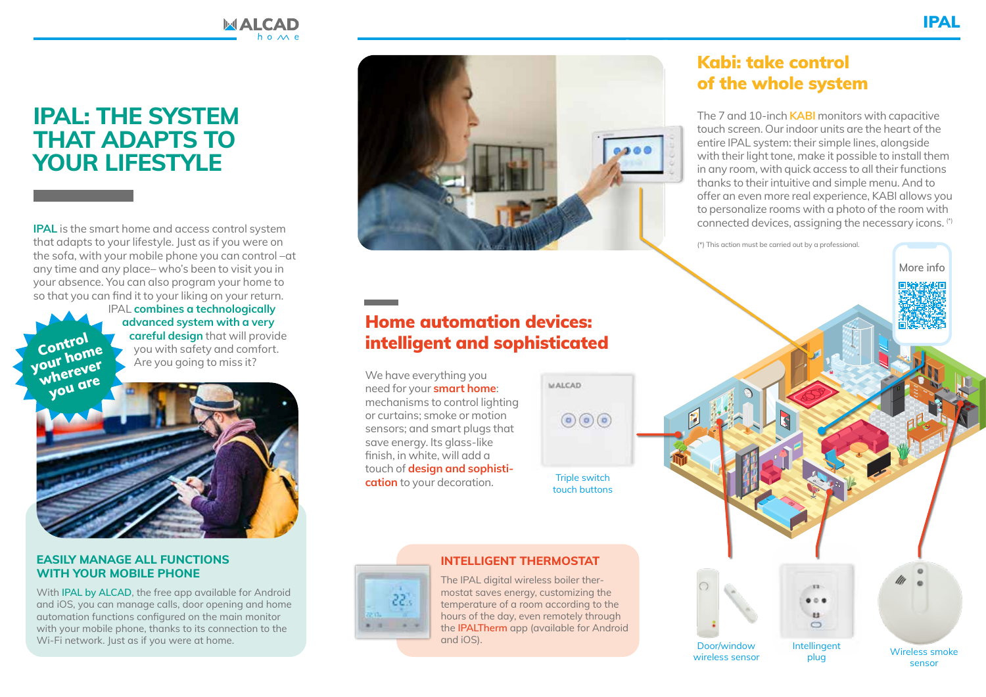## **IPAL: THE SYSTEM THAT ADAPTS TO YOUR LIFESTYLE**

**IPAL** is the smart home and access control system that adapts to your lifestyle. Just as if you were on the sofa, with your mobile phone you can control –at any time and any place– who's been to visit you in your absence. You can also program your home to so that you can find it to your liking on your return.

IPAL **combines a technologically advanced system with a very careful design** that will provide you with safety and comfort. Are you going to miss it?

МАІСАЛ



#### **EASILY MANAGE ALL FUNCTIONS WITH YOUR MOBILE PHONE**

Control your home

> With **IPAL by ALCAD**, the free app available for Android and iOS, you can manage calls, door opening and home automation functions configured on the main monitor with your mobile phone, thanks to its connection to the Wi-Fi network. Just as if you were at home.



## Home automation devices: intelligent and sophisticated

We have everything you need for your **smart home**: mechanisms to control lighting or curtains; smoke or motion sensors; and smart plugs that save energy. Its glass-like finish, in white, will add a touch of **design and sophistication** to your decoration.

**MALCAD**  $\bigcirc$   $\bigcirc$   $\bigcirc$ Triple switch touch buttons



#### **INTELLIGENT THERMOSTAT**

The IPAL digital wireless boiler thermostat saves energy, customizing the temperature of a room according to the hours of the day, even remotely through the **IPALTherm** app (available for Android and iOS). Door/window

### Kabi: take control of the whole system

The 7 and 10-inch **KABI** monitors with capacitive touch screen. Our indoor units are the heart of the entire IPAL system: their simple lines, alongside with their light tone, make it possible to install them in any room, with quick access to all their functions thanks to their intuitive and simple menu. And to offer an even more real experience, KABI allows you to personalize rooms with a photo of the room with connected devices, assigning the necessary icons. (\*)

(\*) This action must be carried out by a professional.